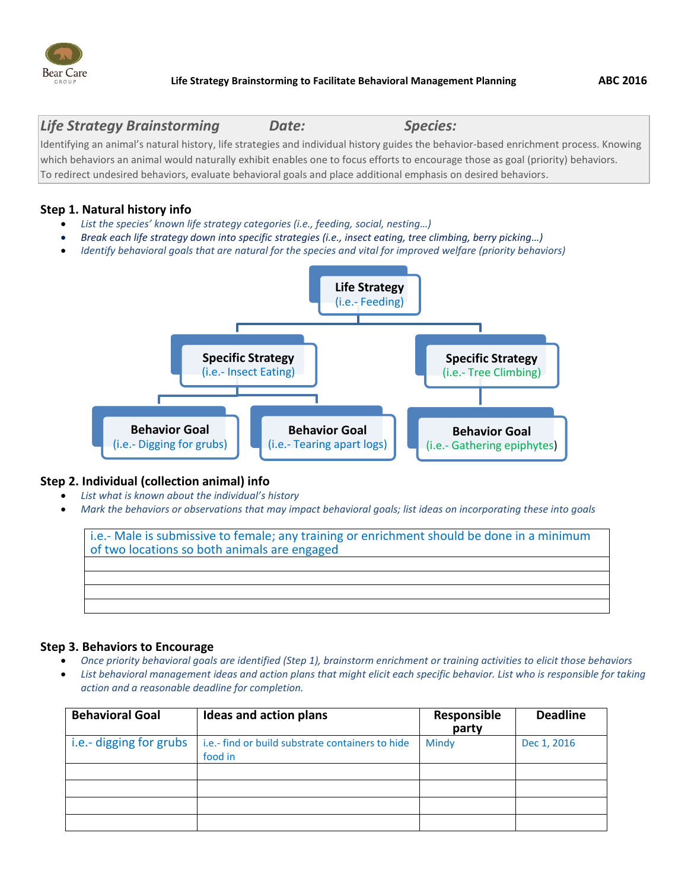

*Life Strategy Brainstorming Date: Species:* 

Identifying an animal's natural history, life strategies and individual history guides the behavior-based enrichment process. Knowing which behaviors an animal would naturally exhibit enables one to focus efforts to encourage those as goal (priority) behaviors. To redirect undesired behaviors, evaluate behavioral goals and place additional emphasis on desired behaviors.

# **Step 1. Natural history info**

- *List the species' known life strategy categories (i.e., feeding, social, nesting…)*
- *Break each life strategy down into specific strategies (i.e., insect eating, tree climbing, berry picking…)*
- *Identify behavioral goals that are natural for the species and vital for improved welfare (priority behaviors)*



# **Step 2. Individual (collection animal) info**

- *List what is known about the individual's history*
- *Mark the behaviors or observations that may impact behavioral goals; list ideas on incorporating these into goals*

i.e.- Male is submissive to female; any training or enrichment should be done in a minimum of two locations so both animals are engaged

# **Step 3. Behaviors to Encourage**

- *Once priority behavioral goals are identified (Step 1), brainstorm enrichment or training activities to elicit those behaviors*
- *List behavioral management ideas and action plans that might elicit each specific behavior. List who is responsible for taking action and a reasonable deadline for completion.*

| <b>Behavioral Goal</b>  | <b>Ideas and action plans</b>                               | Responsible<br>party | <b>Deadline</b> |
|-------------------------|-------------------------------------------------------------|----------------------|-----------------|
| i.e.- digging for grubs | i.e.- find or build substrate containers to hide<br>food in | Mindy                | Dec 1, 2016     |
|                         |                                                             |                      |                 |
|                         |                                                             |                      |                 |
|                         |                                                             |                      |                 |
|                         |                                                             |                      |                 |